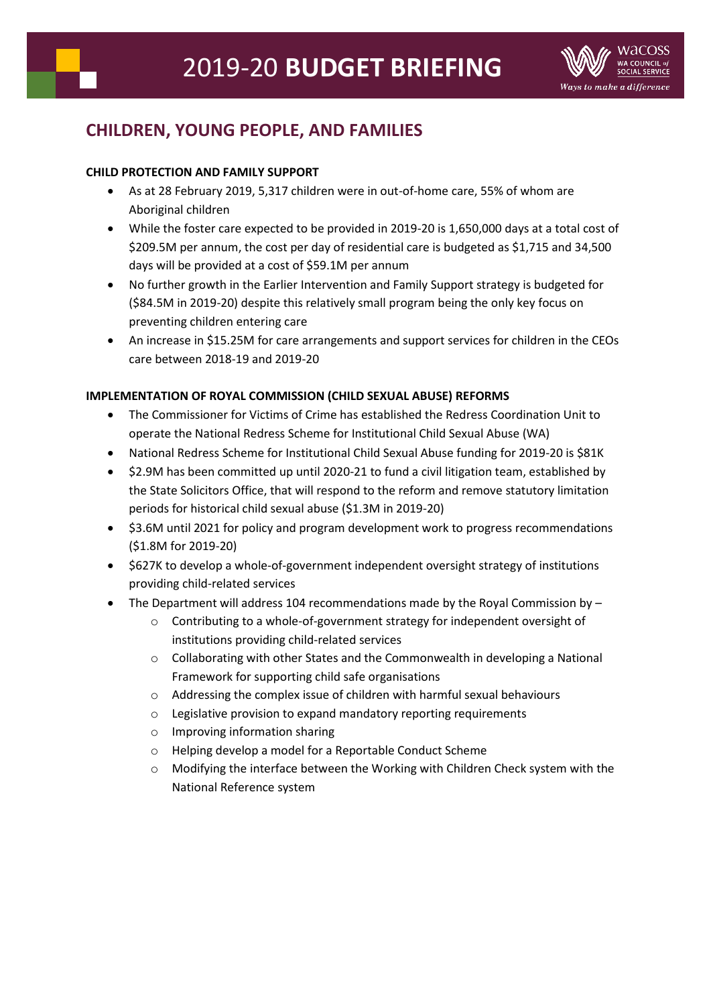

# **CHILDREN, YOUNG PEOPLE, AND FAMILIES**

## **CHILD PROTECTION AND FAMILY SUPPORT**

- As at 28 February 2019, 5,317 children were in out-of-home care, 55% of whom are Aboriginal children
- While the foster care expected to be provided in 2019-20 is 1,650,000 days at a total cost of \$209.5M per annum, the cost per day of residential care is budgeted as \$1,715 and 34,500 days will be provided at a cost of \$59.1M per annum
- No further growth in the Earlier Intervention and Family Support strategy is budgeted for (\$84.5M in 2019-20) despite this relatively small program being the only key focus on preventing children entering care
- An increase in \$15.25M for care arrangements and support services for children in the CEOs care between 2018-19 and 2019-20

## **IMPLEMENTATION OF ROYAL COMMISSION (CHILD SEXUAL ABUSE) REFORMS**

- The Commissioner for Victims of Crime has established the Redress Coordination Unit to operate the National Redress Scheme for Institutional Child Sexual Abuse (WA)
- National Redress Scheme for Institutional Child Sexual Abuse funding for 2019-20 is \$81K
- \$2.9M has been committed up until 2020-21 to fund a civil litigation team, established by the State Solicitors Office, that will respond to the reform and remove statutory limitation periods for historical child sexual abuse (\$1.3M in 2019-20)
- \$3.6M until 2021 for policy and program development work to progress recommendations (\$1.8M for 2019-20)
- \$627K to develop a whole-of-government independent oversight strategy of institutions providing child-related services
- The Department will address 104 recommendations made by the Royal Commission by
	- o Contributing to a whole-of-government strategy for independent oversight of institutions providing child-related services
	- o Collaborating with other States and the Commonwealth in developing a National Framework for supporting child safe organisations
	- o Addressing the complex issue of children with harmful sexual behaviours
	- o Legislative provision to expand mandatory reporting requirements
	- o Improving information sharing
	- o Helping develop a model for a Reportable Conduct Scheme
	- o Modifying the interface between the Working with Children Check system with the National Reference system